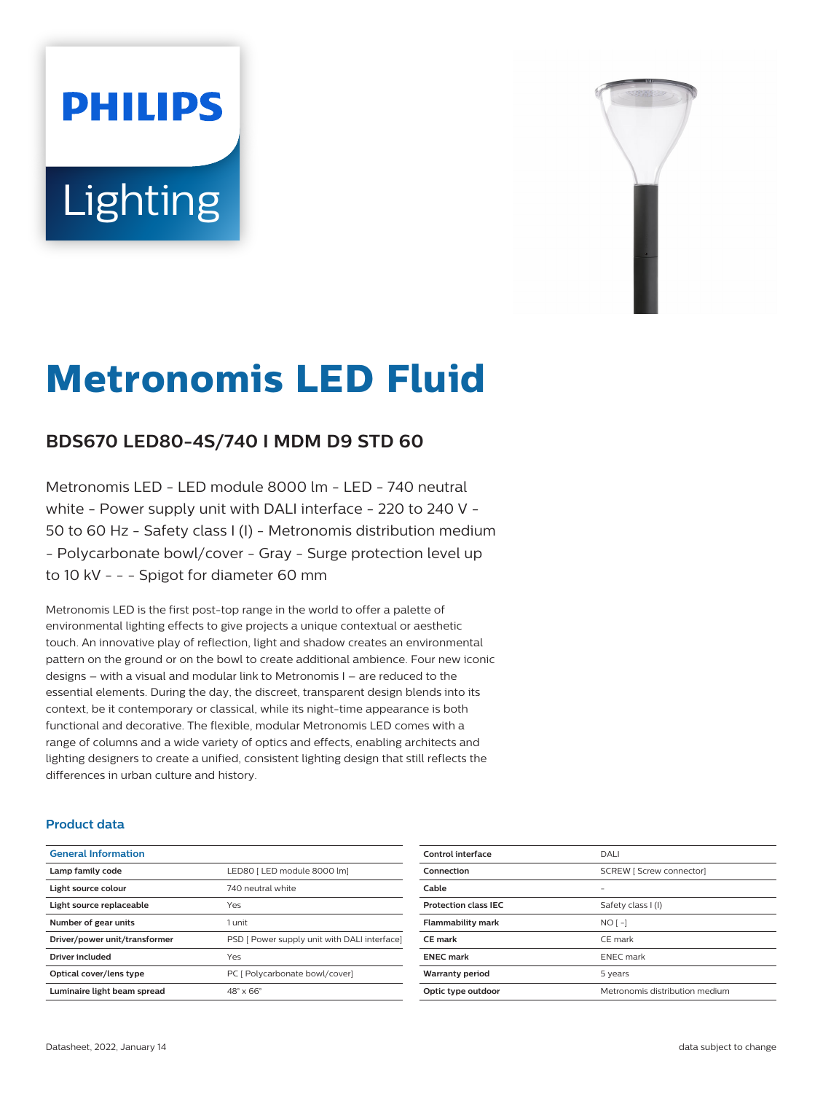# **PHILIPS Lighting**



# **Metronomis LED Fluid**

# **BDS670 LED80-4S/740 I MDM D9 STD 60**

Metronomis LED - LED module 8000 lm - LED - 740 neutral white - Power supply unit with DALI interface - 220 to 240 V -50 to 60 Hz - Safety class I (I) - Metronomis distribution medium - Polycarbonate bowl/cover - Gray - Surge protection level up to 10 kV - - - Spigot for diameter 60 mm

Metronomis LED is the first post-top range in the world to offer a palette of environmental lighting effects to give projects a unique contextual or aesthetic touch. An innovative play of reflection, light and shadow creates an environmental pattern on the ground or on the bowl to create additional ambience. Four new iconic designs  $-$  with a visual and modular link to Metronomis I  $-$  are reduced to the essential elements. During the day, the discreet, transparent design blends into its context, be it contemporary or classical, while its night-time appearance is both functional and decorative. The flexible, modular Metronomis LED comes with a range of columns and a wide variety of optics and effects, enabling architects and lighting designers to create a unified, consistent lighting design that still reflects the differences in urban culture and history.

#### **Product data**

| <b>General Information</b>    |                                              |
|-------------------------------|----------------------------------------------|
| Lamp family code              | LED80   LED module 8000 lm]                  |
| Light source colour           | 740 neutral white                            |
| Light source replaceable      | Yes                                          |
| Number of gear units          | 1 unit                                       |
| Driver/power unit/transformer | PSD [ Power supply unit with DALI interface] |
| Driver included               | Yes                                          |
| Optical cover/lens type       | PC [ Polycarbonate bowl/cover]               |
| Luminaire light beam spread   | $48^\circ \times 66^\circ$                   |
|                               |                                              |

| Control interface           | DALI                           |
|-----------------------------|--------------------------------|
| Connection                  | SCREW [ Screw connector]       |
| Cable                       | -                              |
| <b>Protection class IEC</b> | Safety class I (I)             |
| <b>Flammability mark</b>    | $NO$ [-1                       |
| <b>CE</b> mark              | CE mark                        |
| <b>ENEC</b> mark            | <b>ENEC</b> mark               |
| <b>Warranty period</b>      | 5 years                        |
| Optic type outdoor          | Metronomis distribution medium |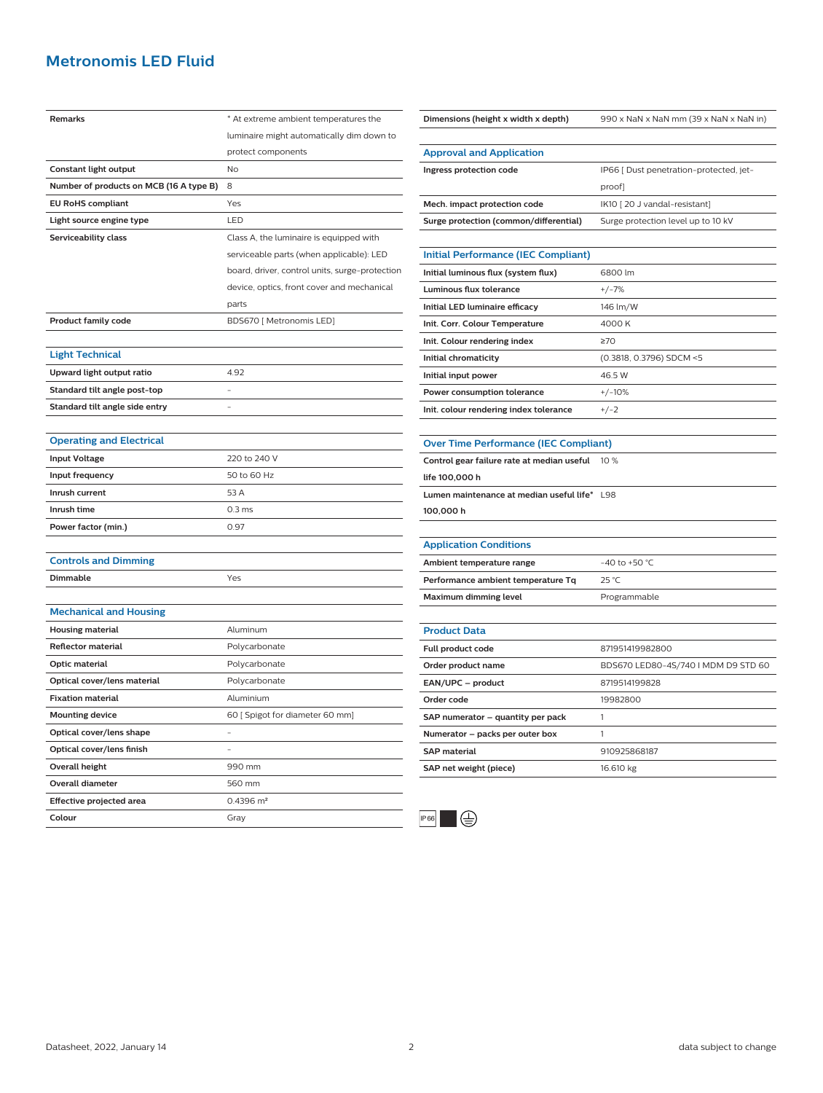## **Metronomis LED Fluid**

| Remarks                                 | * At extreme ambient temperatures the          |
|-----------------------------------------|------------------------------------------------|
|                                         | luminaire might automatically dim down to      |
|                                         | protect components                             |
| Constant light output                   | No                                             |
| Number of products on MCB (16 A type B) | 8                                              |
| <b>EU RoHS compliant</b>                | Yes                                            |
| Light source engine type                | LED                                            |
| Serviceability class                    | Class A, the luminaire is equipped with        |
|                                         | serviceable parts (when applicable): LED       |
|                                         | board, driver, control units, surge-protection |
|                                         | device, optics, front cover and mechanical     |
|                                         | parts                                          |
| <b>Product family code</b>              | BDS670 [ Metronomis LED]                       |
|                                         |                                                |
| <b>Light Technical</b>                  |                                                |
| Upward light output ratio               | 4.92                                           |
| Standard tilt angle post-top            | $\bar{\phantom{a}}$                            |
| Standard tilt angle side entry          |                                                |
|                                         |                                                |
| <b>Operating and Electrical</b>         |                                                |
| <b>Input Voltage</b>                    | 220 to 240 V                                   |
| Input frequency                         | 50 to 60 Hz                                    |
| Inrush current                          | 53 A                                           |
| Inrush time                             | 0.3 <sub>ms</sub>                              |
| Power factor (min.)                     | 0.97                                           |
|                                         |                                                |
| <b>Controls and Dimming</b>             |                                                |
| Dimmable                                | Yes                                            |
|                                         |                                                |
| <b>Mechanical and Housing</b>           |                                                |
| <b>Housing material</b>                 | Aluminum                                       |
| <b>Reflector material</b>               | Polycarbonate                                  |
| Optic material                          | Polycarbonate                                  |
| Optical cover/lens material             | Polycarbonate                                  |
| <b>Fixation material</b>                | Aluminium                                      |
| <b>Mounting device</b>                  | 60 [ Spigot for diameter 60 mm]                |
| Optical cover/lens shape                |                                                |
| Optical cover/lens finish               |                                                |
| Overall height                          | 990 mm                                         |
| <b>Overall diameter</b>                 | 560 mm                                         |
| Effective projected area                | $0.4396$ m <sup>2</sup>                        |
| Colour                                  | Gray                                           |

| <b>Approval and Application</b>              |                                         |
|----------------------------------------------|-----------------------------------------|
| Ingress protection code                      | IP66 [ Dust penetration-protected, jet- |
|                                              | proof]                                  |
| Mech. impact protection code                 | IK10 [20 J vandal-resistant]            |
| Surge protection (common/differential)       | Surge protection level up to 10 kV      |
|                                              |                                         |
| <b>Initial Performance (IEC Compliant)</b>   |                                         |
| Initial luminous flux (system flux)          | 6800 lm                                 |
| <b>Luminous flux tolerance</b>               | $+/-7%$                                 |
| Initial LED luminaire efficacy               | 146 lm/W                                |
| Init. Corr. Colour Temperature               | 4000K                                   |
| Init. Colour rendering index                 | 270                                     |
| Initial chromaticity                         | (0.3818, 0.3796) SDCM <5                |
| Initial input power                          | 46.5 W                                  |
| Power consumption tolerance                  | $+/-10%$                                |
| Init. colour rendering index tolerance       | $+/-2$                                  |
|                                              |                                         |
| <b>Over Time Performance (IEC Compliant)</b> |                                         |
|                                              |                                         |
| Control gear failure rate at median useful   | 10 %                                    |
| life 100,000 h                               |                                         |
| Lumen maintenance at median useful life* L98 |                                         |
| 100,000 h                                    |                                         |
|                                              |                                         |
| <b>Application Conditions</b>                |                                         |
| Ambient temperature range                    | -40 to +50 $^{\circ}$ C                 |
| Performance ambient temperature Tq           | $25^{\circ}$ C                          |
| <b>Maximum dimming level</b>                 | Programmable                            |
|                                              |                                         |
| <b>Product Data</b>                          |                                         |
| Full product code                            | 871951419982800                         |
| Order product name                           | BDS670 LED80-4S/740 I MDM D9 STD 60     |
| EAN/UPC - product                            | 8719514199828                           |
| Order code                                   | 19982800                                |
| SAP numerator - quantity per pack            | 1                                       |
| Numerator - packs per outer box              | 1                                       |
| <b>SAP material</b>                          | 910925868187                            |

**Dimensions (height x width x depth)** 990 x NaN x NaN mm (39 x NaN x NaN in)